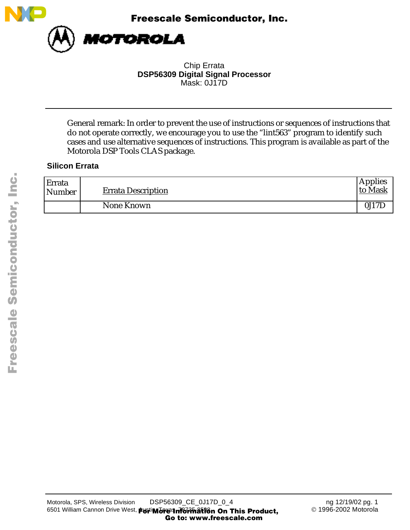

Chip Errata **DSP56309 Digital Signal Processor** Mask: 0J17D

General remark: In order to prevent the use of instructions or sequences of instructions that do not operate correctly, we encourage you to use the "lint563" program to identify such cases and use alternative sequences of instructions. This program is available as part of the Motorola DSP Tools CLAS package.

# **Silicon Errata**

| Errata<br>Number | <b>Errata Description</b> | <b>Applies</b><br>to Mask |
|------------------|---------------------------|---------------------------|
|                  | None Known                | 0J17L                     |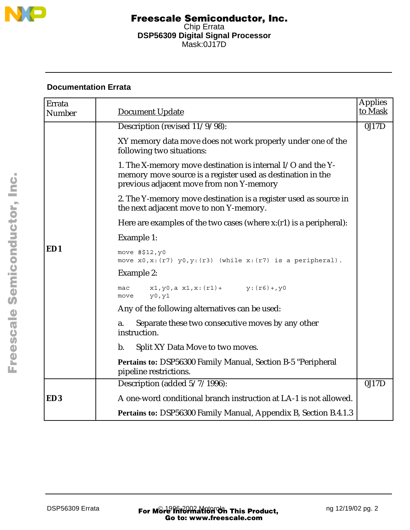

# **Documentation Errata**

| Errata<br>Number | <b>Document Update</b>                                                                                                                                                 | <b>Applies</b><br>to Mask |
|------------------|------------------------------------------------------------------------------------------------------------------------------------------------------------------------|---------------------------|
|                  | Description (revised 11/9/98):                                                                                                                                         | 0J17D                     |
|                  | XY memory data move does not work properly under one of the<br>following two situations:                                                                               |                           |
|                  | 1. The X-memory move destination is internal I/O and the Y-<br>memory move source is a register used as destination in the<br>previous adjacent move from non Y-memory |                           |
|                  | 2. The Y-memory move destination is a register used as source in<br>the next adjacent move to non Y-memory.                                                            |                           |
|                  | Here are examples of the two cases (where $x:(r1)$ is a peripheral):                                                                                                   |                           |
|                  | Example 1:                                                                                                                                                             |                           |
| ED1              | move #\$12, y0<br>move $x0, x: (r7)$ $y0, y: (r3)$ (while $x: (r7)$ is a peripheral).                                                                                  |                           |
|                  | <b>Example 2:</b>                                                                                                                                                      |                           |
|                  | $x1, y0, a x1, x: (r1) + y: (r6) + y0$<br>mac<br>y0, y1<br>move                                                                                                        |                           |
|                  | Any of the following alternatives can be used:                                                                                                                         |                           |
|                  | Separate these two consecutive moves by any other<br>a.<br>instruction.                                                                                                |                           |
|                  | Split XY Data Move to two moves.<br>b.                                                                                                                                 |                           |
|                  | Pertains to: DSP56300 Family Manual, Section B-5 "Peripheral<br>pipeline restrictions.                                                                                 |                           |
|                  | Description (added 5/7/1996):                                                                                                                                          | 0J17D                     |
| ED <sub>3</sub>  | A one-word conditional branch instruction at LA-1 is not allowed.                                                                                                      |                           |
|                  | Pertains to: DSP56300 Family Manual, Appendix B, Section B.4.1.3                                                                                                       |                           |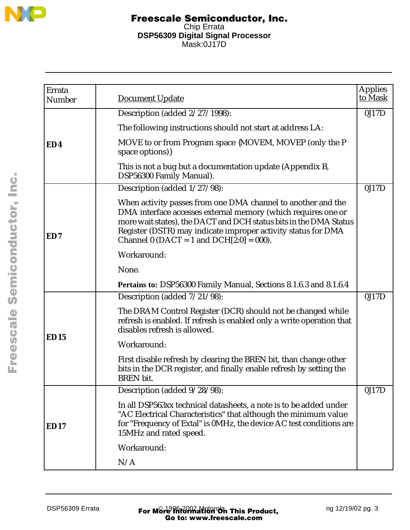

| Errata<br>Number | <b>Document Update</b>                                                                                                                                                                                                                                                                                              | <b>Applies</b><br>to Mask |
|------------------|---------------------------------------------------------------------------------------------------------------------------------------------------------------------------------------------------------------------------------------------------------------------------------------------------------------------|---------------------------|
|                  | Description (added 2/27/1998):                                                                                                                                                                                                                                                                                      | 0J17D                     |
|                  | The following instructions should not start at address LA:                                                                                                                                                                                                                                                          |                           |
| ED4              | MOVE to or from Program space {MOVEM, MOVEP (only the P<br>space options)}                                                                                                                                                                                                                                          |                           |
|                  | This is not a bug but a documentation update (Appendix B,<br>DSP56300 Family Manual).                                                                                                                                                                                                                               |                           |
|                  | Description (added 1/27/98):                                                                                                                                                                                                                                                                                        | 0J17D                     |
| ED7              | When activity passes from one DMA channel to another and the<br>DMA interface accesses external memory (which requires one or<br>more wait states), the DACT and DCH status bits in the DMA Status<br>Register (DSTR) may indicate improper activity status for DMA<br>Channel 0 (DACT = 1 and DCH $[2:0] = 000$ ). |                           |
|                  | Workaround:                                                                                                                                                                                                                                                                                                         |                           |
|                  | None.                                                                                                                                                                                                                                                                                                               |                           |
|                  | Pertains to: DSP56300 Family Manual, Sections 8.1.6.3 and 8.1.6.4                                                                                                                                                                                                                                                   |                           |
|                  | Description (added 7/21/98):                                                                                                                                                                                                                                                                                        | 0J17D                     |
|                  | The DRAM Control Register (DCR) should not be changed while<br>refresh is enabled. If refresh is enabled only a write operation that<br>disables refresh is allowed.                                                                                                                                                |                           |
| <b>ED15</b>      | Workaround:                                                                                                                                                                                                                                                                                                         |                           |
|                  | First disable refresh by clearing the BREN bit, than change other<br>bits in the DCR register, and finally enable refresh by setting the<br><b>BREN</b> bit.                                                                                                                                                        |                           |
|                  | Description (added $9/28/98$ ):                                                                                                                                                                                                                                                                                     | 0J17D                     |
| ED17             | In all DSP563xx technical datasheets, a note is to be added under<br>"AC Electrical Characteristics" that although the minimum value<br>for "Frequency of Extal" is 0MHz, the device AC test conditions are<br>15MHz and rated speed.                                                                               |                           |
|                  | Workaround:                                                                                                                                                                                                                                                                                                         |                           |
|                  | N/A                                                                                                                                                                                                                                                                                                                 |                           |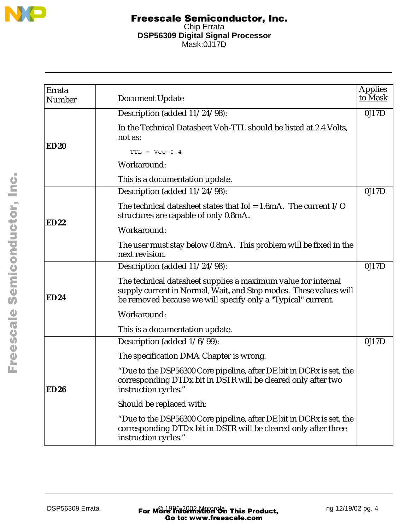

| Errata<br>Number | Document Update                                                                                                                                                                                    | <b>Applies</b><br>to Mask |
|------------------|----------------------------------------------------------------------------------------------------------------------------------------------------------------------------------------------------|---------------------------|
|                  | Description (added 11/24/98):                                                                                                                                                                      | 0J17D                     |
|                  | In the Technical Datasheet Voh-TTL should be listed at 2.4 Volts,<br>not as:                                                                                                                       |                           |
| <b>ED20</b>      | $TTL = Vcc-0.4$                                                                                                                                                                                    |                           |
|                  | Workaround:                                                                                                                                                                                        |                           |
|                  | This is a documentation update.                                                                                                                                                                    |                           |
|                  | Description (added 11/24/98):                                                                                                                                                                      | 0J17D                     |
|                  | The technical datasheet states that $I$ ol = 1.6mA. The current $I/O$<br>structures are capable of only 0.8mA.                                                                                     |                           |
| <b>ED22</b>      | Workaround:                                                                                                                                                                                        |                           |
|                  | The user must stay below 0.8mA. This problem will be fixed in the<br>next revision.                                                                                                                |                           |
|                  | Description (added 11/24/98):                                                                                                                                                                      | 0J17D                     |
| <b>ED24</b>      | The technical datasheet supplies a maximum value for internal<br>supply current in Normal, Wait, and Stop modes. These values will<br>be removed because we will specify only a "Typical" current. |                           |
|                  | Workaround:                                                                                                                                                                                        |                           |
|                  | This is a documentation update.                                                                                                                                                                    |                           |
|                  | Description (added 1/6/99):                                                                                                                                                                        | 0J17D                     |
|                  | The specification DMA Chapter is wrong.                                                                                                                                                            |                           |
| <b>ED26</b>      | "Due to the DSP56300 Core pipeline, after DE bit in DCRx is set, the<br>corresponding DTDx bit in DSTR will be cleared only after two<br>instruction cycles."                                      |                           |
|                  | Should be replaced with:                                                                                                                                                                           |                           |
|                  | "Due to the DSP56300 Core pipeline, after DE bit in DCRx is set, the<br>corresponding DTDx bit in DSTR will be cleared only after three<br>instruction cycles."                                    |                           |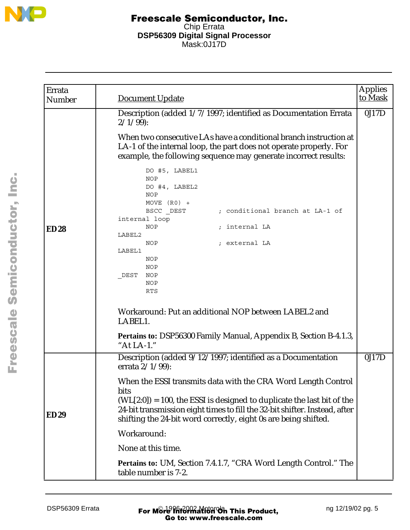

| Errata<br>Number | Document Update                                                                                                                                                                                                                                                                                                                                                                                                                                                                                                                                                                                                                                                                                                                                               | <b>Applies</b><br>to Mask |
|------------------|---------------------------------------------------------------------------------------------------------------------------------------------------------------------------------------------------------------------------------------------------------------------------------------------------------------------------------------------------------------------------------------------------------------------------------------------------------------------------------------------------------------------------------------------------------------------------------------------------------------------------------------------------------------------------------------------------------------------------------------------------------------|---------------------------|
| <b>ED28</b>      | Description (added 1/7/1997; identified as Documentation Errata<br>$2/1/99$ :<br>When two consecutive LAs have a conditional branch instruction at<br>LA-1 of the internal loop, the part does not operate properly. For<br>example, the following sequence may generate incorrect results:<br>DO #5, LABEL1<br><b>NOP</b><br>DO #4, LABEL2<br><b>NOP</b><br>MOVE $(R0)$ +<br>BSCC DEST<br>; conditional branch at LA-1 of<br>internal loop<br><b>NOP</b><br>; internal LA<br>LABEL2<br>NOP<br>; external LA<br>LABEL1<br><b>NOP</b><br><b>NOP</b><br>NOP<br>DEST<br><b>NOP</b><br><b>RTS</b><br>Workaround: Put an additional NOP between LABEL2 and<br>LABEL1.<br><b>Pertains to: DSP56300 Family Manual, Appendix B, Section B-4.1.3,</b><br>"At $LA-1$ ." | 0J17D                     |
| <b>ED29</b>      | Description (added 9/12/1997; identified as a Documentation<br>errata $2/1/99$ :<br>When the ESSI transmits data with the CRA Word Length Control<br>bits<br>$(WL[2:0]) = 100$ , the ESSI is designed to duplicate the last bit of the<br>24-bit transmission eight times to fill the 32-bit shifter. Instead, after<br>shifting the 24-bit word correctly, eight 0s are being shifted.<br>Workaround:<br>None at this time.<br><b>Pertains to: UM, Section 7.4.1.7, "CRA Word Length Control." The</b><br>table number is 7-2.                                                                                                                                                                                                                               | 0J17D                     |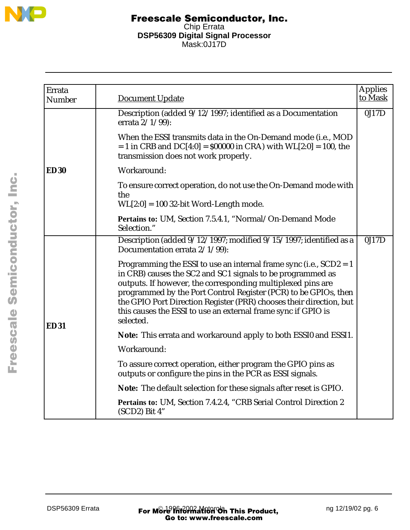

| Errata      |                                                                                                                                                                                                                                                                                                                                                                                                                           | <b>Applies</b><br>to Mask |
|-------------|---------------------------------------------------------------------------------------------------------------------------------------------------------------------------------------------------------------------------------------------------------------------------------------------------------------------------------------------------------------------------------------------------------------------------|---------------------------|
| Number      | <b>Document Update</b>                                                                                                                                                                                                                                                                                                                                                                                                    |                           |
|             | Description (added 9/12/1997; identified as a Documentation<br>errata $2/1/99$ :                                                                                                                                                                                                                                                                                                                                          | 0J17D                     |
|             | When the ESSI transmits data in the On-Demand mode (i.e., MOD<br>$= 1$ in CRB and DC[4:0] = \$00000 in CRA) with WL[2:0] = 100, the<br>transmission does not work properly.                                                                                                                                                                                                                                               |                           |
| <b>ED30</b> | Workaround:                                                                                                                                                                                                                                                                                                                                                                                                               |                           |
|             | To ensure correct operation, do not use the On-Demand mode with<br>the                                                                                                                                                                                                                                                                                                                                                    |                           |
|             | $WL[2:0] = 100$ 32-bit Word-Length mode.                                                                                                                                                                                                                                                                                                                                                                                  |                           |
|             | Pertains to: UM, Section 7.5.4.1, "Normal/On-Demand Mode<br>Selection."                                                                                                                                                                                                                                                                                                                                                   |                           |
|             | Description (added 9/12/1997; modified 9/15/1997; identified as a<br>Documentation errata 2/1/99):                                                                                                                                                                                                                                                                                                                        | 0J17D                     |
| <b>ED31</b> | Programming the ESSI to use an internal frame sync (i.e., $SCD2 = 1$<br>in CRB) causes the SC2 and SC1 signals to be programmed as<br>outputs. If however, the corresponding multiplexed pins are<br>programmed by the Port Control Register (PCR) to be GPIOs, then<br>the GPIO Port Direction Register (PRR) chooses their direction, but<br>this causes the ESSI to use an external frame sync if GPIO is<br>selected. |                           |
|             | Note: This errata and workaround apply to both ESSI0 and ESSI1.                                                                                                                                                                                                                                                                                                                                                           |                           |
|             | Workaround:                                                                                                                                                                                                                                                                                                                                                                                                               |                           |
|             | To assure correct operation, either program the GPIO pins as<br>outputs or configure the pins in the PCR as ESSI signals.                                                                                                                                                                                                                                                                                                 |                           |
|             | Note: The default selection for these signals after reset is GPIO.                                                                                                                                                                                                                                                                                                                                                        |                           |
|             | Pertains to: UM, Section 7.4.2.4, "CRB Serial Control Direction 2<br>(SCD2) Bit 4"                                                                                                                                                                                                                                                                                                                                        |                           |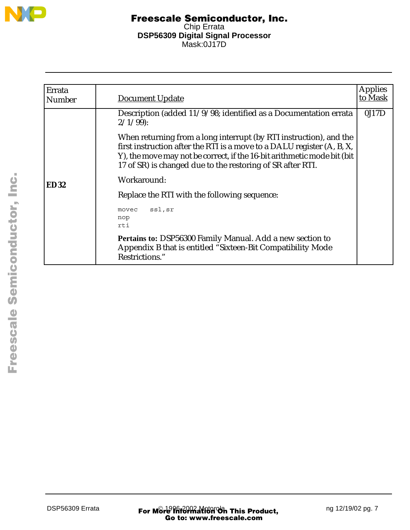

| Errata<br><b>Number</b> | Document Update                                                                                                                                                                                                                                                                       | <b>Applies</b><br><u>to Mask</u> |
|-------------------------|---------------------------------------------------------------------------------------------------------------------------------------------------------------------------------------------------------------------------------------------------------------------------------------|----------------------------------|
|                         | Description (added 11/9/98; identified as a Documentation errata<br>$2/1/99$ :                                                                                                                                                                                                        | 0J17D                            |
|                         | When returning from a long interrupt (by RTI instruction), and the<br>first instruction after the RTI is a move to a DALU register (A, B, X,<br>Y), the move may not be correct, if the 16-bit arithmetic mode bit (bit<br>17 of SR) is changed due to the restoring of SR after RTI. |                                  |
| <b>ED32</b>             | Workaround:                                                                                                                                                                                                                                                                           |                                  |
|                         | Replace the RTI with the following sequence:                                                                                                                                                                                                                                          |                                  |
|                         | ssl,sr<br>movec<br>nop<br>rti                                                                                                                                                                                                                                                         |                                  |
|                         | Pertains to: DSP56300 Family Manual. Add a new section to<br>Appendix B that is entitled "Sixteen-Bit Compatibility Mode<br>Restrictions."                                                                                                                                            |                                  |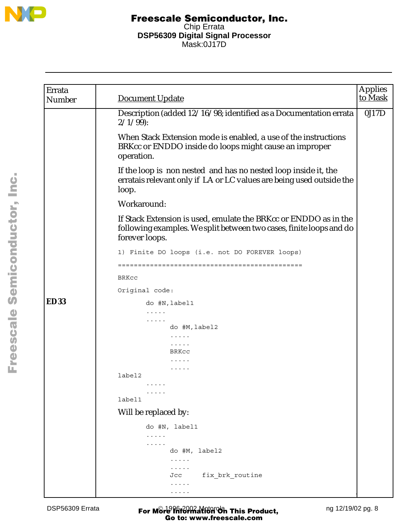

| Errata<br>Number | <b>Document Update</b>                                                                                                                                    | <b>Applies</b><br>to Mask |
|------------------|-----------------------------------------------------------------------------------------------------------------------------------------------------------|---------------------------|
|                  | Description (added 12/16/98; identified as a Documentation errata<br>$2/1/99$ :                                                                           | 0J17D                     |
|                  | When Stack Extension mode is enabled, a use of the instructions<br>BRKcc or ENDDO inside do loops might cause an improper<br>operation.                   |                           |
|                  | If the loop is non nested and has no nested loop inside it, the<br>erratais relevant only if LA or LC values are being used outside the<br>loop.          |                           |
|                  | Workaround:                                                                                                                                               |                           |
|                  | If Stack Extension is used, emulate the BRKcc or ENDDO as in the<br>following examples. We split between two cases, finite loops and do<br>forever loops. |                           |
|                  | 1) Finite DO loops (i.e. not DO FOREVER loops)                                                                                                            |                           |
|                  |                                                                                                                                                           |                           |
|                  | BRKcc                                                                                                                                                     |                           |
|                  | Original code:                                                                                                                                            |                           |
| <b>ED33</b>      | do #N, label1                                                                                                                                             |                           |
|                  | .                                                                                                                                                         |                           |
|                  | .<br>do #M, label2                                                                                                                                        |                           |
|                  | .<br>.                                                                                                                                                    |                           |
|                  | BRKCC                                                                                                                                                     |                           |
|                  |                                                                                                                                                           |                           |
|                  | label2                                                                                                                                                    |                           |
|                  | $\cdots$                                                                                                                                                  |                           |
|                  |                                                                                                                                                           |                           |
|                  | label1                                                                                                                                                    |                           |
|                  | Will be replaced by:                                                                                                                                      |                           |
|                  | do #N, label1                                                                                                                                             |                           |
|                  | .                                                                                                                                                         |                           |
|                  | .<br>do #M, label2                                                                                                                                        |                           |
|                  | $\cdots\cdots\cdots$                                                                                                                                      |                           |
|                  | $\cdots\cdots\cdots$                                                                                                                                      |                           |
|                  | fix brk routine<br>Jcc<br>.                                                                                                                               |                           |
|                  | .                                                                                                                                                         |                           |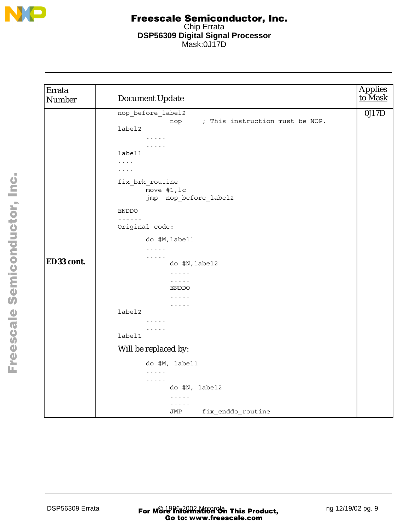

| Errata<br>Number | <b>Document Update</b>                                                                                                                                                                                                                    | Applies<br>to Mask |
|------------------|-------------------------------------------------------------------------------------------------------------------------------------------------------------------------------------------------------------------------------------------|--------------------|
|                  | nop_before_label2<br>; This instruction must be NOP.<br>nop<br>label2<br>$\cdots\cdots\cdots$<br>$\cdots$<br>label1<br>$\cdots$<br>$\ldots$ .<br>.<br>fix brk routine<br>move #1, lc<br>jmp nop_before_label2<br>ENDDO<br>$- - - - - - -$ | 0J17D              |
|                  | Original code:<br>do #M, label1<br>$\dots$                                                                                                                                                                                                |                    |
| ED33 cont.       | $\ldots$<br>do #N, label2<br>$\dots$<br>$\cdots$<br>ENDDO<br>$\cdots$<br>$\cdots\cdots\cdots$                                                                                                                                             |                    |
|                  | label2<br>$\cdots$<br>$\cdots$<br>label1                                                                                                                                                                                                  |                    |
|                  | Will be replaced by:                                                                                                                                                                                                                      |                    |
|                  | do #M, label1<br>$\sim$ $\sim$ $\sim$ $\sim$ $\sim$<br>.<br>do #N, label2<br>$\cdots$<br>$\ldots$<br>fix_enddo_routine<br>JMP                                                                                                             |                    |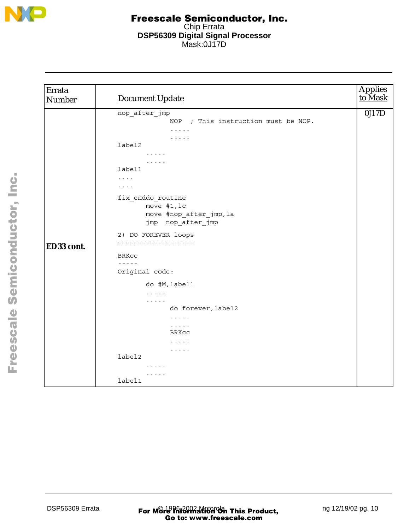

| Errata<br><b>Number</b> | <b>Document Update</b>                                                                                                                                                                                                                                                                                                                                                                                                                                                                                                                                                                        | Applies<br>to Mask |
|-------------------------|-----------------------------------------------------------------------------------------------------------------------------------------------------------------------------------------------------------------------------------------------------------------------------------------------------------------------------------------------------------------------------------------------------------------------------------------------------------------------------------------------------------------------------------------------------------------------------------------------|--------------------|
| ED33 cont.              | nop_after_jmp<br>NOP ; This instruction must be NOP.<br>.<br>.<br>label2<br>$\cdots$<br>$\cdots\cdots\cdots$<br>label1<br>$\cdots$<br>$\cdots$<br>fix_enddo_routine<br>move #1, lc<br>move #nop_after_jmp, la<br>jmp nop_after_jmp<br>2) DO FOREVER loops<br>===================<br>BRKCC<br>$- - - - -$<br>Original code:<br>do #M, label1<br>$\sim$ $\sim$ $\sim$ $\sim$ $\sim$<br>$\sim$ $\sim$ $\sim$ $\sim$ $\sim$<br>do forever, label2<br>$\cdots$<br>$\sim$ $\sim$ $\sim$ $\sim$ $\sim$<br><b>BRKCC</b><br>.<br>$\cdots\cdots\cdots$<br>label2<br>$\cdots\cdots\cdots$<br>.<br>label1 | 0J17D              |
|                         |                                                                                                                                                                                                                                                                                                                                                                                                                                                                                                                                                                                               |                    |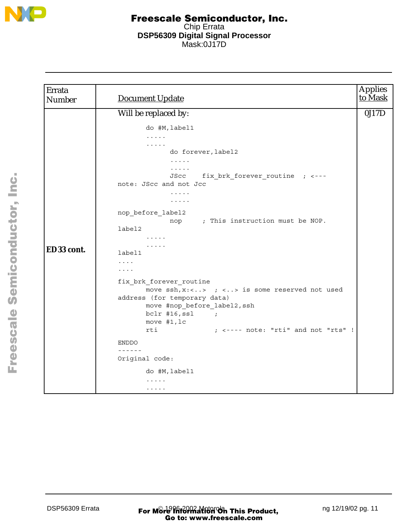

| Errata<br><b>Number</b> | <b>Document Update</b>                                                                                                                                                                                                                                                                                                                                                                                                                                                                                                                                                                                                                                                | <b>Applies</b><br>to Mask |
|-------------------------|-----------------------------------------------------------------------------------------------------------------------------------------------------------------------------------------------------------------------------------------------------------------------------------------------------------------------------------------------------------------------------------------------------------------------------------------------------------------------------------------------------------------------------------------------------------------------------------------------------------------------------------------------------------------------|---------------------------|
|                         | Will be replaced by:                                                                                                                                                                                                                                                                                                                                                                                                                                                                                                                                                                                                                                                  | 0J17D                     |
| ED33 cont.              | do #M, label1<br>$\mathbb{Z}^2$ . In the $\mathbb{Z}^2$<br>do forever, label2<br>$\mathbf{1}$ , and $\mathbf{1}$ , and $\mathbf{1}$<br>$\ldots$<br>fix_brk_forever_routine ; <---<br>JScc<br>note: JScc and not Jcc<br>1.1.1.1<br>$\cdots\cdots\cdots$<br>nop_before_label2<br>nop ; This instruction must be NOP.<br>label2<br>$\cdots\cdots\cdots$<br>$\cdots$<br>label1<br>$\cdots$<br>$\cdots$<br>fix_brk_forever_routine<br>move $ssh, x: \langle . \rangle$ ; $\langle . \rangle$ is some reserved not used<br>address (for temporary data)<br>move #nop_before_label2, ssh<br>$bc1r$ #16, ssl ;<br>move $#1, lc$<br>; <---- note: "rti" and not "rts" !<br>rti |                           |
|                         | ENDDO                                                                                                                                                                                                                                                                                                                                                                                                                                                                                                                                                                                                                                                                 |                           |
|                         | ------                                                                                                                                                                                                                                                                                                                                                                                                                                                                                                                                                                                                                                                                |                           |
|                         | Original code:                                                                                                                                                                                                                                                                                                                                                                                                                                                                                                                                                                                                                                                        |                           |
|                         | do #M, label1                                                                                                                                                                                                                                                                                                                                                                                                                                                                                                                                                                                                                                                         |                           |
|                         | $\cdots$<br>$\cdots\cdots\cdots$                                                                                                                                                                                                                                                                                                                                                                                                                                                                                                                                                                                                                                      |                           |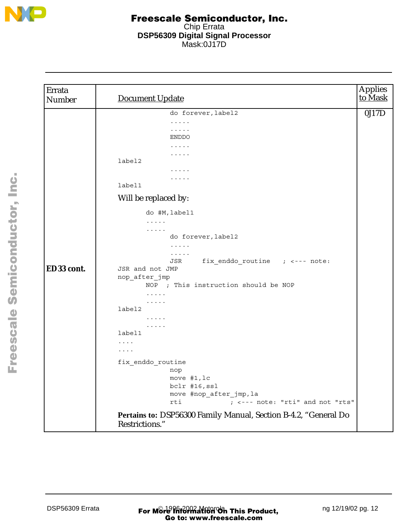

| Errata<br>Number | <b>Document Update</b>                                                            | <b>Applies</b><br>to Mask |
|------------------|-----------------------------------------------------------------------------------|---------------------------|
|                  | do forever, label2                                                                | 0J17D                     |
|                  | $\cdots\cdots\cdots$                                                              |                           |
|                  | .                                                                                 |                           |
|                  | ENDDO                                                                             |                           |
|                  | $\cdots\cdots\cdots$<br>.                                                         |                           |
|                  | label2                                                                            |                           |
|                  | $\cdots\cdots\cdots$                                                              |                           |
|                  | .                                                                                 |                           |
|                  | label1                                                                            |                           |
|                  | Will be replaced by:                                                              |                           |
|                  | do #M, label1                                                                     |                           |
|                  | $\cdots$                                                                          |                           |
|                  | $\cdots$<br>do forever, label2                                                    |                           |
|                  | $\cdots$                                                                          |                           |
|                  | $\cdots$                                                                          |                           |
|                  | fix_enddo_routine ; <--- note:<br>JSR                                             |                           |
| ED33 cont.       | JSR and not JMP                                                                   |                           |
|                  | nop_after_jmp                                                                     |                           |
|                  | NOP ; This instruction should be NOP                                              |                           |
|                  | $\cdots$<br>$\cdots\cdots\cdots$                                                  |                           |
|                  | label2                                                                            |                           |
|                  | $\cdots$                                                                          |                           |
|                  | $\cdots$                                                                          |                           |
|                  | label1                                                                            |                           |
|                  | $\cdots$                                                                          |                           |
|                  | $\cdots$                                                                          |                           |
|                  | fix enddo routine                                                                 |                           |
|                  | nop<br>move #1, lc                                                                |                           |
|                  | bclr #16, ssl                                                                     |                           |
|                  | move #nop_after_jmp, la                                                           |                           |
|                  | ; <--- note: "rti" and not "rts"<br>rti                                           |                           |
|                  | Pertains to: DSP56300 Family Manual, Section B-4.2, "General Do<br>Restrictions." |                           |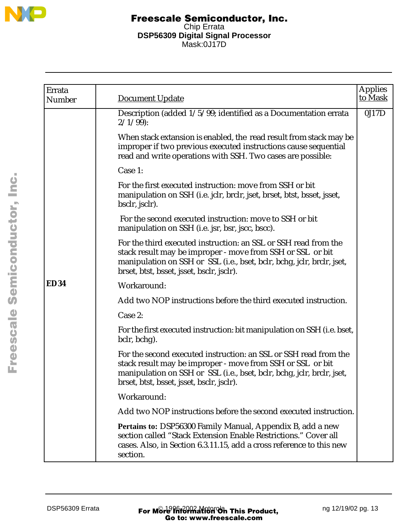

| Errata<br>Number | <b>Document Update</b>                                                                                                                                                                                                                                | <b>Applies</b><br>to Mask |
|------------------|-------------------------------------------------------------------------------------------------------------------------------------------------------------------------------------------------------------------------------------------------------|---------------------------|
|                  | Description (added 1/5/99; identified as a Documentation errata<br>$2/1/99$ :                                                                                                                                                                         | 0J17D                     |
|                  | When stack extansion is enabled, the read result from stack may be<br>improper if two previous executed instructions cause sequential<br>read and write operations with SSH. Two cases are possible:                                                  |                           |
|                  | Case 1:                                                                                                                                                                                                                                               |                           |
|                  | For the first executed instruction: move from SSH or bit<br>manipulation on SSH (i.e. jclr, brclr, jset, brset, btst, bsset, jsset,<br>bsclr, jsclr).                                                                                                 |                           |
|                  | For the second executed instruction: move to SSH or bit<br>manipulation on SSH (i.e. jsr, bsr, jscc, bscc).                                                                                                                                           |                           |
|                  | For the third executed instruction: an SSL or SSH read from the<br>stack result may be improper - move from SSH or SSL or bit<br>manipulation on SSH or SSL (i.e., bset, bclr, bchg, jclr, brclr, jset,<br>brset, btst, bsset, jsset, bsclr, jsclr).  |                           |
| <b>ED34</b>      | Workaround:                                                                                                                                                                                                                                           |                           |
|                  | Add two NOP instructions before the third executed instruction.                                                                                                                                                                                       |                           |
|                  | Case 2:                                                                                                                                                                                                                                               |                           |
|                  | For the first executed instruction: bit manipulation on SSH (i.e. bset,<br>bclr, bchg).                                                                                                                                                               |                           |
|                  | For the second executed instruction: an SSL or SSH read from the<br>stack result may be improper - move from SSH or SSL or bit<br>manipulation on SSH or SSL (i.e., bset, bclr, bchg, jclr, brclr, jset,<br>brset, btst, bsset, jsset, bsclr, jsclr). |                           |
|                  | Workaround:                                                                                                                                                                                                                                           |                           |
|                  | Add two NOP instructions before the second executed instruction.                                                                                                                                                                                      |                           |
|                  | Pertains to: DSP56300 Family Manual, Appendix B, add a new<br>section called "Stack Extension Enable Restrictions." Cover all<br>cases. Also, in Section 6.3.11.15, add a cross reference to this new<br>section.                                     |                           |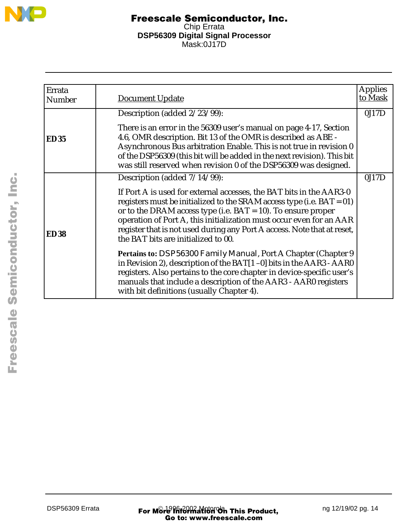

| Errata<br><b>Number</b> | Document Update                                                                                                                                                                                                                                                                                                                                                                                             | <b>Applies</b><br>to Mask |
|-------------------------|-------------------------------------------------------------------------------------------------------------------------------------------------------------------------------------------------------------------------------------------------------------------------------------------------------------------------------------------------------------------------------------------------------------|---------------------------|
|                         |                                                                                                                                                                                                                                                                                                                                                                                                             |                           |
|                         | Description (added 2/23/99):                                                                                                                                                                                                                                                                                                                                                                                | 0J17D                     |
| <b>ED35</b>             | There is an error in the 56309 user's manual on page 4-17, Section<br>4.6, OMR description. Bit 13 of the OMR is described as ABE -<br>Asynchronous Bus arbitration Enable. This is not true in revision 0<br>of the DSP56309 (this bit will be added in the next revision). This bit<br>was still reserved when revision 0 of the DSP56309 was designed.                                                   |                           |
|                         | Description (added $7/14/99$ ):                                                                                                                                                                                                                                                                                                                                                                             | 0J17D                     |
| <b>ED38</b>             | If Port A is used for external accesses, the BAT bits in the AAR3-0<br>registers must be initialized to the SRAM access type (i.e. $BAT = 01$ )<br>or to the DRAM access type (i.e. $BAT = 10$ ). To ensure proper<br>operation of Port A, this initialization must occur even for an AAR<br>register that is not used during any Port A access. Note that at reset,<br>the BAT bits are initialized to 00. |                           |
|                         | Pertains to: <i>DSP56300 Family Manual</i> , Port A Chapter (Chapter 9<br>in Revision 2), description of the BAT[1-0] bits in the AAR3 - AAR0<br>registers. Also pertains to the core chapter in device-specific user's<br>manuals that include a description of the AAR3 - AAR0 registers<br>with bit definitions (usually Chapter 4).                                                                     |                           |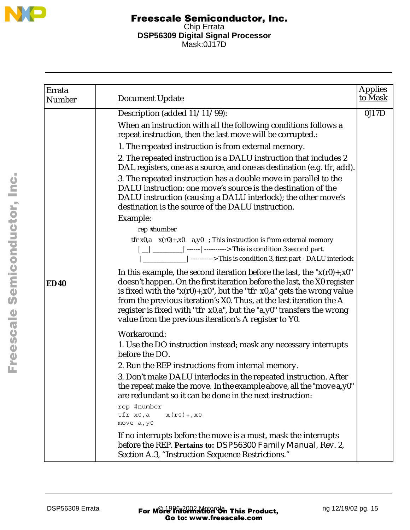

| Errata<br>Number | Document Update                                                                                                                                                                                                                                                                                                                                                                                                                                   | <b>Applies</b><br>to Mask |
|------------------|---------------------------------------------------------------------------------------------------------------------------------------------------------------------------------------------------------------------------------------------------------------------------------------------------------------------------------------------------------------------------------------------------------------------------------------------------|---------------------------|
|                  | Description (added 11/11/99):                                                                                                                                                                                                                                                                                                                                                                                                                     | 0J17D                     |
|                  | When an instruction with all the following conditions follows a<br>repeat instruction, then the last move will be corrupted.:                                                                                                                                                                                                                                                                                                                     |                           |
|                  | 1. The repeated instruction is from external memory.                                                                                                                                                                                                                                                                                                                                                                                              |                           |
|                  | 2. The repeated instruction is a DALU instruction that includes 2<br>DAL registers, one as a source, and one as destination (e.g. tfr, add).                                                                                                                                                                                                                                                                                                      |                           |
|                  | 3. The repeated instruction has a double move in parallel to the<br>DALU instruction: one move's source is the destination of the<br>DALU instruction (causing a DALU interlock); the other move's<br>destination is the source of the DALU instruction.                                                                                                                                                                                          |                           |
|                  | Example:                                                                                                                                                                                                                                                                                                                                                                                                                                          |                           |
|                  | rep #number                                                                                                                                                                                                                                                                                                                                                                                                                                       |                           |
|                  | tfr $x0$ , $a \times (r0) + x0$ a, $y0$ ; This instruction is from external memory<br>$ $ _   _______   ------   ----------> This is condition 3 second part.<br>________________________ This is condition 3, first part - DALU interlock                                                                                                                                                                                                        |                           |
| <b>ED40</b>      | In this example, the second iteration before the last, the " $x(r0) + x0$ "<br>doesn't happen. On the first iteration before the last, the X0 register<br>is fixed with the " $x(r0) + x0$ ", but the "tfr $x0$ ,a" gets the wrong value<br>from the previous iteration's X0. Thus, at the last iteration the A<br>register is fixed with "tfr x0,a", but the "a,y0" transfers the wrong<br>value from the previous iteration's A register to Y0. |                           |
|                  | Workaround:                                                                                                                                                                                                                                                                                                                                                                                                                                       |                           |
|                  | 1. Use the DO instruction instead; mask any necessary interrupts<br>before the DO.                                                                                                                                                                                                                                                                                                                                                                |                           |
|                  | 2. Run the REP instructions from internal memory.                                                                                                                                                                                                                                                                                                                                                                                                 |                           |
|                  | 3. Don't make DALU interlocks in the repeated instruction. After<br>the repeat make the move. In the example above, all the "move a, y0"<br>are redundant so it can be done in the next instruction:                                                                                                                                                                                                                                              |                           |
|                  | rep #number<br>tfr x0,a<br>$x(r0) + x0$<br>move a, y0                                                                                                                                                                                                                                                                                                                                                                                             |                           |
|                  | If no interrupts before the move is a must, mask the interrupts<br>before the REP. Pertains to: DSP56300 Family Manual, Rev. 2,<br>Section A.3, "Instruction Sequence Restrictions."                                                                                                                                                                                                                                                              |                           |